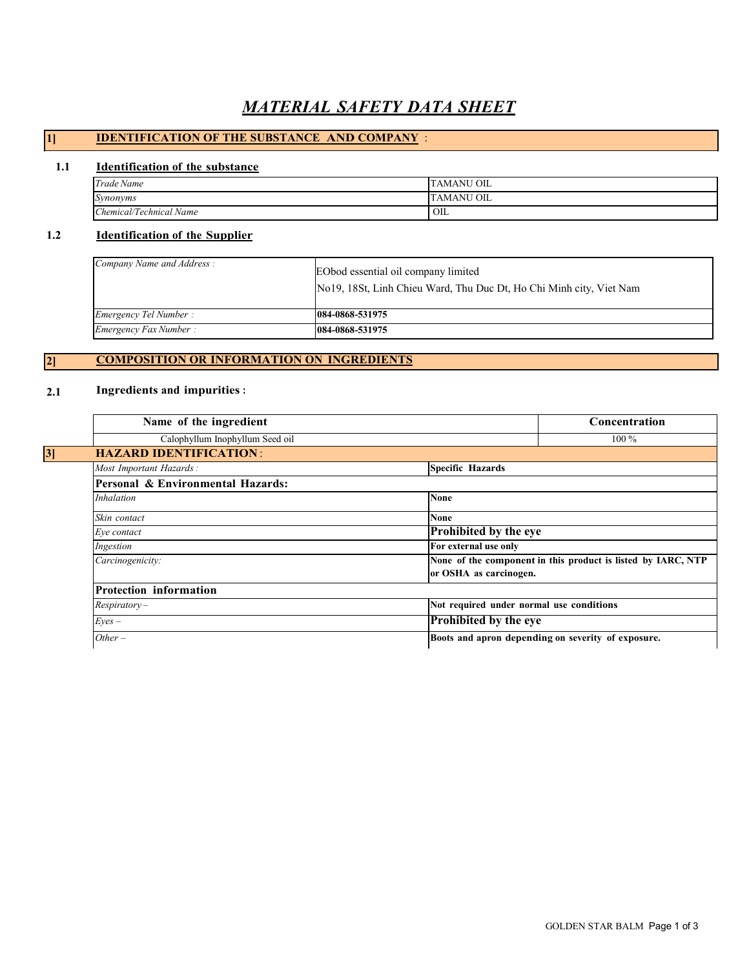# *MATERIAL SAFETY DATA SHEET*

#### **1] IDENTIFICATION OF THE SUBSTANCE AND COMPANY** :

#### **1.1 Identification of the substance**

| Trade Name              | <b>TAMANU OIL</b><br>$\mathbf{r}$ |
|-------------------------|-----------------------------------|
| Synonyms                | <b>TAMANU OIL</b>                 |
| Chemical/Technical Name | OIL                               |

## **1.2 Identification of the Supplier**

| Company Name and Address:   | EObod essential oil company limited<br>No. 19. 188t, Linh Chieu Ward, Thu Duc Dt, Ho Chi Minh city, Viet Nam |
|-----------------------------|--------------------------------------------------------------------------------------------------------------|
| <i>Emergency Tel Number</i> | 084-0868-531975                                                                                              |
| Emergency Fax Number:       | 084-0868-531975                                                                                              |

#### **2] COMPOSITION OR INFORMATION ON INGREDIENTS**

#### **2.1 Ingredients and impurities :**

|    | Name of the ingredient            | Concentration                                                                          |
|----|-----------------------------------|----------------------------------------------------------------------------------------|
|    | Calophyllum Inophyllum Seed oil   | $100\%$                                                                                |
| 3] | <b>HAZARD IDENTIFICATION:</b>     |                                                                                        |
|    | Most Important Hazards:           | <b>Specific Hazards</b>                                                                |
|    | Personal & Environmental Hazards: |                                                                                        |
|    | <b>Inhalation</b>                 | <b>None</b>                                                                            |
|    | Skin contact                      | None                                                                                   |
|    | Eye contact                       | <b>Prohibited by the eye</b>                                                           |
|    | Ingestion                         | For external use only                                                                  |
|    | Carcinogenicity:                  | None of the component in this product is listed by IARC, NTP<br>or OSHA as carcinogen. |
|    | <b>Protection information</b>     |                                                                                        |
|    | $Respiratory-$                    | Not required under normal use conditions                                               |
|    | $Eves -$                          | Prohibited by the eye                                                                  |
|    | $Other-$                          | Boots and apron depending on severity of exposure.                                     |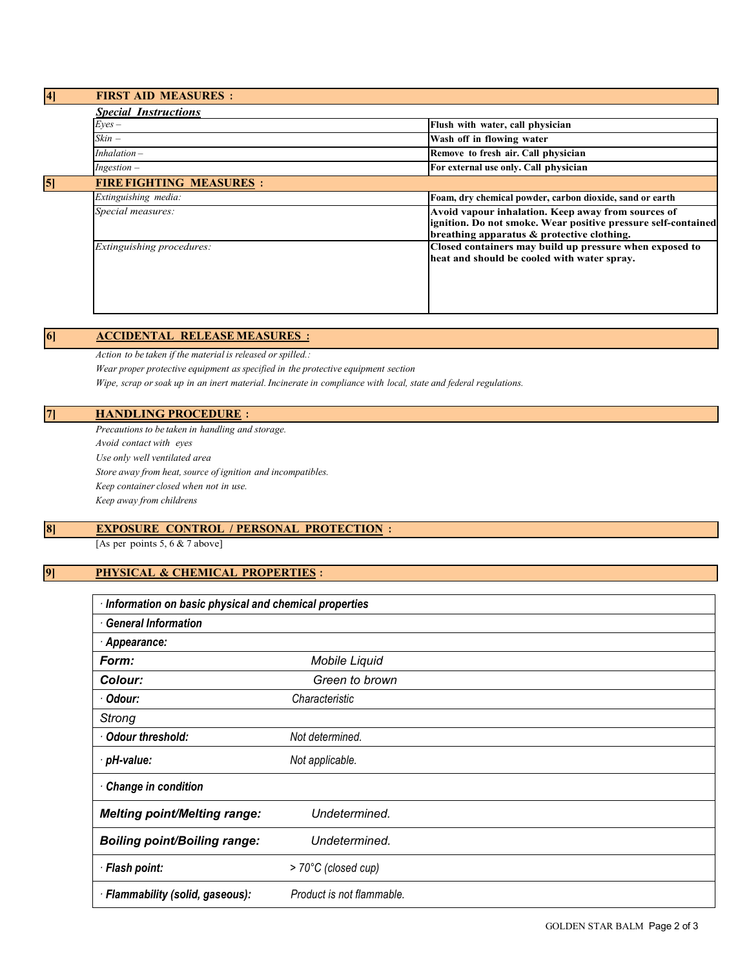| 4          | <b>FIRST AID MEASURES:</b>     |                                                                                                                                                                   |
|------------|--------------------------------|-------------------------------------------------------------------------------------------------------------------------------------------------------------------|
|            | <b>Special Instructions</b>    |                                                                                                                                                                   |
|            | $Eves -$                       | Flush with water, call physician                                                                                                                                  |
|            | $S$ kin $-$                    | Wash off in flowing water                                                                                                                                         |
|            | $Inhalation-$                  | Remove to fresh air. Call physician                                                                                                                               |
|            | $Ingestion -$                  | For external use only. Call physician                                                                                                                             |
| $\sqrt{5}$ | <b>FIRE FIGHTING MEASURES:</b> |                                                                                                                                                                   |
|            | Extinguishing media:           | Foam, dry chemical powder, carbon dioxide, sand or earth                                                                                                          |
|            | Special measures:              | Avoid vapour inhalation. Keep away from sources of<br>ignition. Do not smoke. Wear positive pressure self-contained<br>breathing apparatus & protective clothing. |
|            | Extinguishing procedures:      | Closed containers may build up pressure when exposed to<br>heat and should be cooled with water spray.                                                            |
|            |                                |                                                                                                                                                                   |

## **6] ACCIDENTAL RELEASE MEASURES :**

*Action to be taken if the material is released or spilled.:*

*Wear proper protective equipment as specified in the protective equipment section*

Wipe, scrap or soak up in an inert material. Incinerate in compliance with local, state and federal regulations.

### **7] HANDLING PROCEDURE :**

*Precautions to be taken in handling and storage. Avoid contact with eyes Use only well ventilated area Store away from heat, source of ignition and incompatibles. Keep container closed when not in use. Keep away from childrens*

## **8] EXPOSURE CONTROL / PERSONAL PROTECTION :**

[As per points 5, 6 & 7 above]

## **9] PHYSICAL & CHEMICAL PROPERTIES :**

| Information on basic physical and chemical properties |                           |  |
|-------------------------------------------------------|---------------------------|--|
| <b>General Information</b>                            |                           |  |
| · Appearance:                                         |                           |  |
| Form:                                                 | <b>Mobile Liquid</b>      |  |
| Colour:                                               | Green to brown            |  |
| · Odour:                                              | Characteristic            |  |
| Strong                                                |                           |  |
| Odour threshold:                                      | Not determined.           |  |
| pH-value:                                             | Not applicable.           |  |
| Change in condition                                   |                           |  |
| <b>Melting point/Melting range:</b>                   | Undetermined.             |  |
| <b>Boiling point/Boiling range:</b>                   | Undetermined.             |  |
| · Flash point:                                        | > 70°C (closed cup)       |  |
| · Flammability (solid, gaseous):                      | Product is not flammable. |  |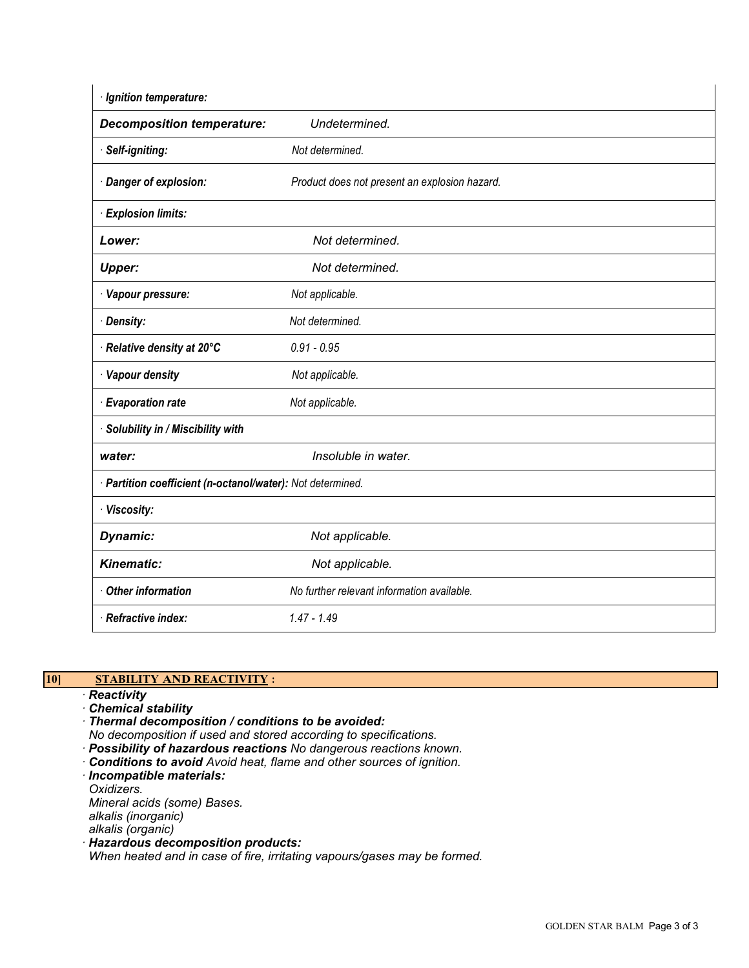| · Ignition temperature:                                    |                                               |  |
|------------------------------------------------------------|-----------------------------------------------|--|
| <b>Decomposition temperature:</b>                          | Undetermined.                                 |  |
| Self-igniting:                                             | Not determined.                               |  |
| Danger of explosion:                                       | Product does not present an explosion hazard. |  |
| <b>Explosion limits:</b>                                   |                                               |  |
| Lower:                                                     | Not determined.                               |  |
| <b>Upper:</b>                                              | Not determined.                               |  |
| · Vapour pressure:                                         | Not applicable.                               |  |
| · Density:                                                 | Not determined.                               |  |
| · Relative density at 20°C                                 | $0.91 - 0.95$                                 |  |
| · Vapour density                                           | Not applicable.                               |  |
| · Evaporation rate                                         | Not applicable.                               |  |
| Solubility in / Miscibility with                           |                                               |  |
| water:                                                     | Insoluble in water.                           |  |
| · Partition coefficient (n-octanol/water): Not determined. |                                               |  |
| · Viscosity:                                               |                                               |  |
| Dynamic:                                                   | Not applicable.                               |  |
| <b>Kinematic:</b>                                          | Not applicable.                               |  |
| <b>Other information</b>                                   | No further relevant information available.    |  |
| · Refractive index:                                        | $1.47 - 1.49$                                 |  |

# **10] STABILITY AND REACTIVITY :**

## *· Reactivity*

- *· Chemical stability*
- *· Thermal decomposition / conditions to be avoided:*
- *No decomposition if used and stored according to specifications.*
- *· Possibility of hazardous reactions No dangerous reactions known.*
- *· Conditions to avoid Avoid heat, flame and other sources of ignition.*
- *· Incompatible materials:*
- *Oxidizers.*
- *Mineral acids (some) Bases. alkalis (inorganic)*
- *alkalis (organic)*
- *· Hazardous decomposition products:*

*When heated and in case of fire, irritating vapours/gases may be formed.*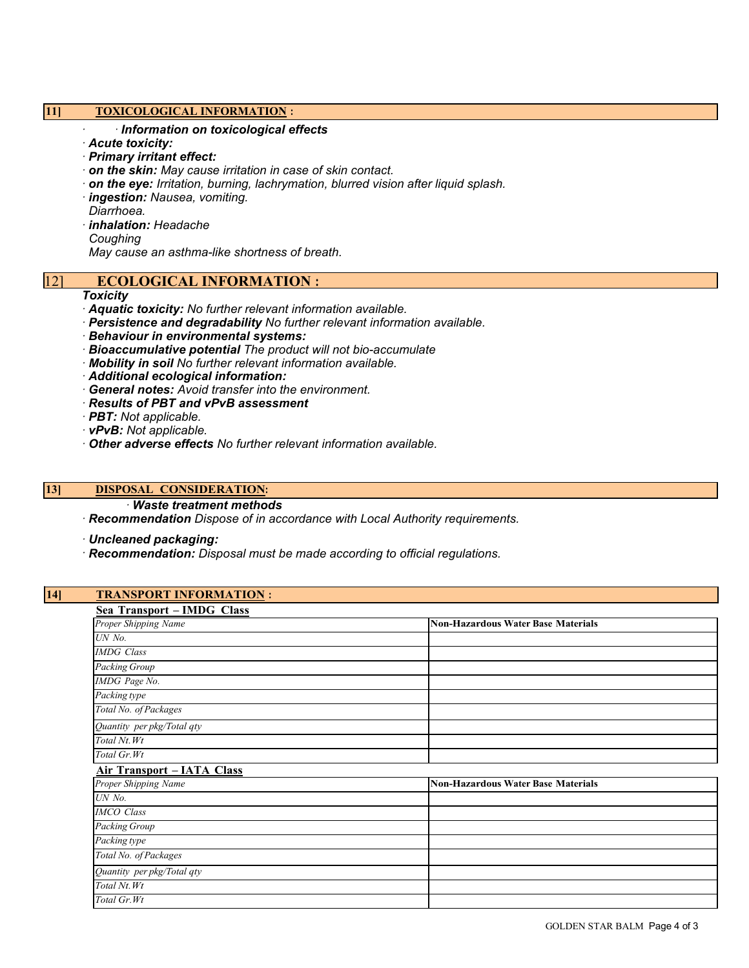### **11] TOXICOLOGICAL INFORMATION :**

### *· Tox· Information on toxicological effects*

- *· Acute toxicity:*
- *· Primary irritant effect:*
- *· on the skin: May cause irritation in case of skin contact.*
- *· on the eye: Irritation, burning, lachrymation, blurred vision after liquid splash.*
- *· ingestion: Nausea, vomiting.*
- *Diarrhoea.*
- *· inhalation: Headache*
- *Coughing*

*May cause an asthma-like shortness of breath.*

## 12] **ECOLOGICAL INFORMATION :**

## *Toxicity*

- *· Aquatic toxicity: No further relevant information available.*
- *· Persistence and degradability No further relevant information available.*
- *· Behaviour in environmental systems:*
- *· Bioaccumulative potential The product will not bio-accumulate*
- *· Mobility in soil No further relevant information available.*
- *· Additional ecological information:*
- *· General notes: Avoid transfer into the environment.*
- *· Results of PBT and vPvB assessment*
- *· PBT: Not applicable.*
- *· vPvB: Not applicable.*
- *· Other adverse effects No further relevant information available.*

### **13] DISPOSAL CONSIDERATION:**

### *· Waste treatment methods*

*· Recommendation Dispose of in accordance with Local Authority requirements.*

- *· Uncleaned packaging:*
- *· Recommendation: Disposal must be made according to official regulations.*

## **14] TRANSPORT INFORMATION :**

| Sea Transport - IMDG Class        |                                           |
|-----------------------------------|-------------------------------------------|
| Proper Shipping Name              | <b>Non-Hazardous Water Base Materials</b> |
| UN No.                            |                                           |
| <b>IMDG</b> Class                 |                                           |
| Packing Group                     |                                           |
| <b>IMDG</b> Page No.              |                                           |
| Packing type                      |                                           |
| Total No. of Packages             |                                           |
| Quantity per pkg/Total qty        |                                           |
| Total Nt. Wt                      |                                           |
| Total Gr.Wt                       |                                           |
| <b>Air Transport - IATA Class</b> |                                           |
| Proper Shipping Name              | <b>Non-Hazardous Water Base Materials</b> |
| UN No.                            |                                           |
| <b>IMCO</b> Class                 |                                           |
| Packing Group                     |                                           |
| Packing type                      |                                           |
| Total No. of Packages             |                                           |
| Quantity per pkg/Total qty        |                                           |
| Total Nt. Wt                      |                                           |
| Total Gr. Wt                      |                                           |